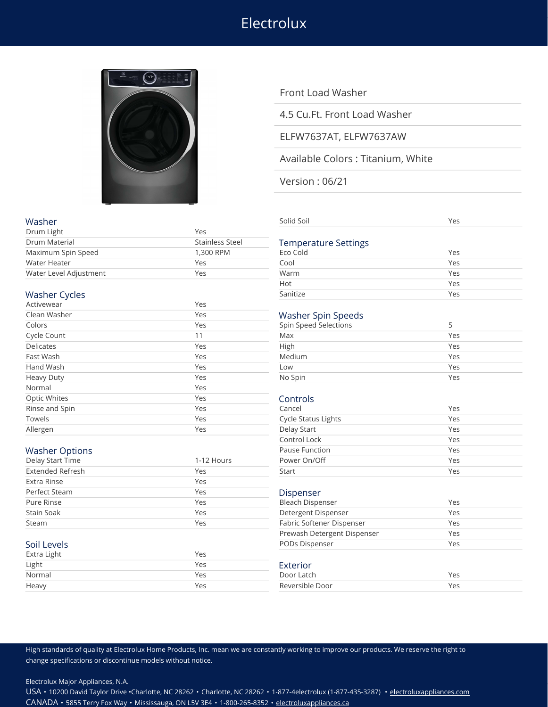# **Electrolux**



# Front Load Washer

4.5 Cu.Ft. Front Load Washer

# ELFW7637AT, ELFW7637AW

# Available Colors : Titanium, White

Version : 06/21

| Drum Light             | Yes                    |                             |                  |
|------------------------|------------------------|-----------------------------|------------------|
| Drum Material          | <b>Stainless Steel</b> | <b>Temperature Settings</b> |                  |
| Maximum Spin Speed     | 1,300 RPM              | Eco Cold                    | Yes              |
| Water Heater           | Yes                    | Cool                        | Yes              |
| Water Level Adjustment | Yes                    | Warm                        | Yes              |
|                        |                        | Hot                         | Yes              |
| <b>Washer Cycles</b>   |                        | Sanitize                    | Yes              |
| Activewear             | Yes                    |                             |                  |
| Clean Washer           | Yes                    | <b>Washer Spin Speeds</b>   |                  |
| Colors                 | Yes                    | Spin Speed Selections       | 5                |
| Cycle Count            | 11                     | Max                         | Yes              |
| <b>Delicates</b>       | Yes                    | High                        | Yes              |
| Fast Wash              | Yes                    | Medium                      | Yes              |
| Hand Wash              | Yes                    | Low                         | Yes              |
| <b>Heavy Duty</b>      | Yes                    | No Spin                     | Yes              |
| Normal                 | Yes                    |                             |                  |
| Optic Whites           | Yes                    | Controls                    |                  |
| Rinse and Spin         | Yes                    | Cancel                      | Yes              |
| Towels                 | Yes                    | Cycle Status Lights         | Yes              |
| <i>Allergen</i>        | Yes                    | Delay Start                 | $Y_{\mathsf{P}}$ |

| Washer                  |                        | Solid Soil                  | Yes |
|-------------------------|------------------------|-----------------------------|-----|
| Drum Light              | Yes                    |                             |     |
| Drum Material           | <b>Stainless Steel</b> | <b>Temperature Settings</b> |     |
| Maximum Spin Speed      | 1,300 RPM              | Eco Cold                    | Yes |
| Water Heater            | Yes                    | Cool                        | Yes |
| Water Level Adjustment  | Yes                    | Warm                        | Yes |
|                         |                        | Hot                         | Yes |
| <b>Washer Cycles</b>    |                        | Sanitize                    | Yes |
| Activewear              | Yes                    |                             |     |
| Clean Washer            | Yes                    | <b>Washer Spin Speeds</b>   |     |
| Colors                  | Yes                    | Spin Speed Selections       | 5   |
| Cycle Count             | 11                     | Max                         | Yes |
| <b>Delicates</b>        | Yes                    | High                        | Yes |
| Fast Wash               | Yes                    | Medium                      | Yes |
| Hand Wash               | Yes                    | Low                         | Yes |
| <b>Heavy Duty</b>       | Yes                    | No Spin                     | Yes |
| Normal                  | Yes                    |                             |     |
| <b>Optic Whites</b>     | Yes                    | Controls                    |     |
| Rinse and Spin          | Yes                    | Cancel                      | Yes |
| Towels                  | Yes                    | <b>Cycle Status Lights</b>  | Yes |
| Allergen                | Yes                    | Delay Start                 | Yes |
|                         |                        | Control Lock                | Yes |
| <b>Washer Options</b>   |                        | Pause Function              | Yes |
| Delay Start Time        | 1-12 Hours             | Power On/Off                | Yes |
| <b>Extended Refresh</b> | Yes                    | Start                       | Yes |
| Extra Rinse             | Yes                    |                             |     |
| <b>Perfect Steam</b>    | Yes                    | Dispenser                   |     |
| Pure Rinse              | Yes                    | <b>Bleach Dispenser</b>     | Yes |
| Stain Soak              | Yes                    | Detergent Dispenser         | Yes |
| Steam                   | Yes                    | Fabric Softener Dispenser   | Yes |
|                         |                        | Prewash Detergent Dispenser | Yes |
| Soil Levels             |                        | PODs Dispenser              | Yes |
| Extra Light             | Yes                    |                             |     |
| Light                   | Yes                    | Exterior                    |     |
| Normal                  | Yes                    | Door Latch                  | Yes |
| Heavy                   | Yes                    | Reversible Door             | Yes |

### High standards of quality at Electrolux Home Products, Inc. mean we are constantly working to improve our products. We reserve the right to change specifications or discontinue models without notice.

Electrolux Major Appliances, N.A.

USA • 10200 David Taylor Drive •Charlotte, NC 28262 • Charlotte, NC 28262 • 1-877-4electrolux (1-877-435-3287) • [electroluxappliances.com](http://electroluxappliances.com) CANADA • 5855 Terry Fox Way • Mississauga, ON L5V 3E4 • 1-800-265-8352 • [electroluxappliances.ca](http://electroluxappliances.ca)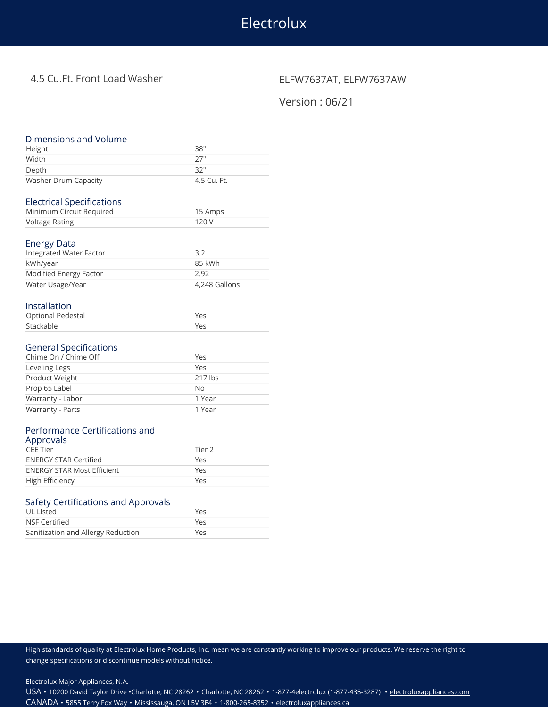# Electrolux

# 4.5 Cu.Ft. Front Load Washer ELFW7637AT, ELFW7637AW

# Version : 06/21

| Dimensions and Volume               |               |
|-------------------------------------|---------------|
| Height                              | 38"           |
| Width                               | 27"           |
| Depth                               | 32"           |
| Washer Drum Capacity                | 4.5 Cu. Ft.   |
|                                     |               |
| <b>Electrical Specifications</b>    |               |
| Minimum Circuit Required            | 15 Amps       |
| <b>Voltage Rating</b>               | 120 V         |
|                                     |               |
| Energy Data                         |               |
| Integrated Water Factor             | 3.2           |
| kWh/year                            | 85 kWh        |
| Modified Energy Factor              | 2.92          |
| Water Usage/Year                    | 4,248 Gallons |
|                                     |               |
| Installation                        |               |
| <b>Optional Pedestal</b>            | Yes           |
| Stackable                           | Yes           |
|                                     |               |
| <b>General Specifications</b>       |               |
| Chime On / Chime Off                | Yes           |
| Leveling Legs                       | Yes           |
| Product Weight                      | 217 lbs       |
| Prop 65 Label                       | <b>No</b>     |
| Warranty - Labor                    | 1 Year        |
| Warranty - Parts                    | 1 Year        |
|                                     |               |
| Performance Certifications and      |               |
| Approvals                           |               |
| <b>CEE Tier</b>                     | Tier 2        |
| <b>ENERGY STAR Certified</b>        | Yes           |
| <b>ENERGY STAR Most Efficient</b>   | Yes           |
| High Efficiency                     | Yes           |
|                                     |               |
| Safety Certifications and Approvals |               |

| UL Listed                          | Yes |
|------------------------------------|-----|
| NSF Certified                      | Yρς |
| Sanitization and Allergy Reduction | Yes |

High standards of quality at Electrolux Home Products, Inc. mean we are constantly working to improve our products. We reserve the right to change specifications or discontinue models without notice.

Electrolux Major Appliances, N.A.

USA • 10200 David Taylor Drive •Charlotte, NC 28262 • Charlotte, NC 28262 • 1-877-4electrolux (1-877-435-3287) • [electroluxappliances.com](http://electroluxappliances.com) CANADA • 5855 Terry Fox Way • Mississauga, ON L5V 3E4 • 1-800-265-8352 • [electroluxappliances.ca](http://electroluxappliances.ca)